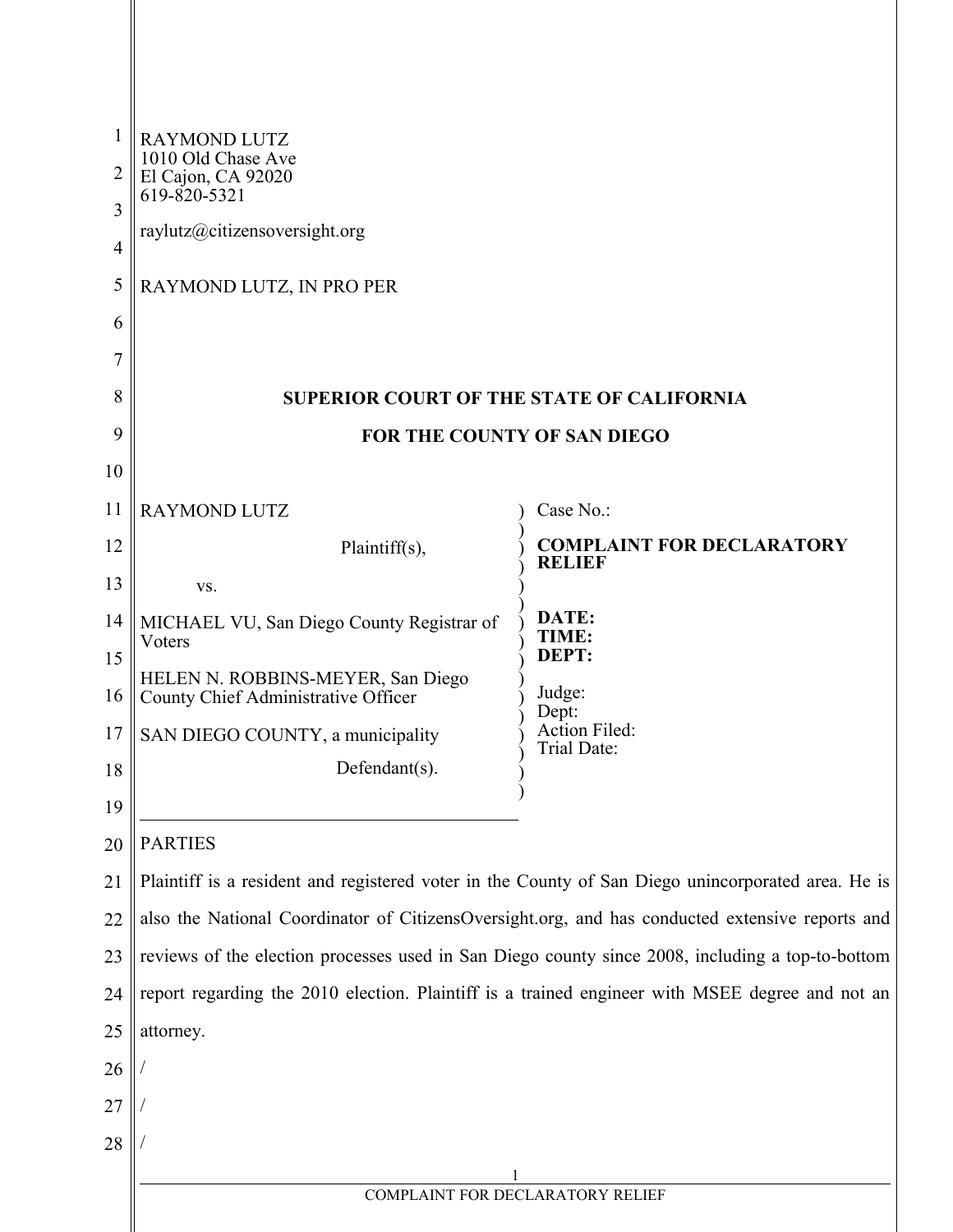|                     | <b>RAYMOND LUTZ</b><br>1010 Old Chase Ave                                                          |                                                   |  |
|---------------------|----------------------------------------------------------------------------------------------------|---------------------------------------------------|--|
| 2                   | El Cajon, CA 92020<br>619-820-5321                                                                 |                                                   |  |
| 3                   | raylutz@citizensoversight.org                                                                      |                                                   |  |
| $\overline{4}$<br>5 |                                                                                                    |                                                   |  |
| 6                   | RAYMOND LUTZ, IN PRO PER                                                                           |                                                   |  |
| 7                   |                                                                                                    |                                                   |  |
| 8                   | <b>SUPERIOR COURT OF THE STATE OF CALIFORNIA</b>                                                   |                                                   |  |
| 9                   | FOR THE COUNTY OF SAN DIEGO                                                                        |                                                   |  |
| 10                  |                                                                                                    |                                                   |  |
| 11                  | <b>RAYMOND LUTZ</b>                                                                                | Case No.:                                         |  |
| 12                  | Plaintiff(s),                                                                                      | <b>COMPLAINT FOR DECLARATORY</b><br><b>RELIEF</b> |  |
| 13                  | VS.                                                                                                |                                                   |  |
| 14                  | MICHAEL VU, San Diego County Registrar of<br>Voters                                                | DATE:<br>TIME:                                    |  |
| 15                  | HELEN N. ROBBINS-MEYER, San Diego                                                                  | DEPT:                                             |  |
|                     | 16 County Chief Administrative Officer                                                             | Judge:<br>Dept:                                   |  |
| 17                  | SAN DIEGO COUNTY, a municipality                                                                   | Action Filed:<br>Trial Date:                      |  |
| 18                  | Defendant(s).                                                                                      |                                                   |  |
| 19<br>20            | <b>PARTIES</b>                                                                                     |                                                   |  |
| 21                  | Plaintiff is a resident and registered voter in the County of San Diego unincorporated area. He is |                                                   |  |
| 22                  | also the National Coordinator of CitizensOversight.org, and has conducted extensive reports and    |                                                   |  |
| 23                  | reviews of the election processes used in San Diego county since 2008, including a top-to-bottom   |                                                   |  |
| 24                  | report regarding the 2010 election. Plaintiff is a trained engineer with MSEE degree and not an    |                                                   |  |
| 25                  | attorney.                                                                                          |                                                   |  |
| 26                  |                                                                                                    |                                                   |  |
| 27                  |                                                                                                    |                                                   |  |
| 28                  |                                                                                                    |                                                   |  |
|                     | COMPLAINT FOR DECLARATORY RELIEF                                                                   |                                                   |  |
|                     |                                                                                                    |                                                   |  |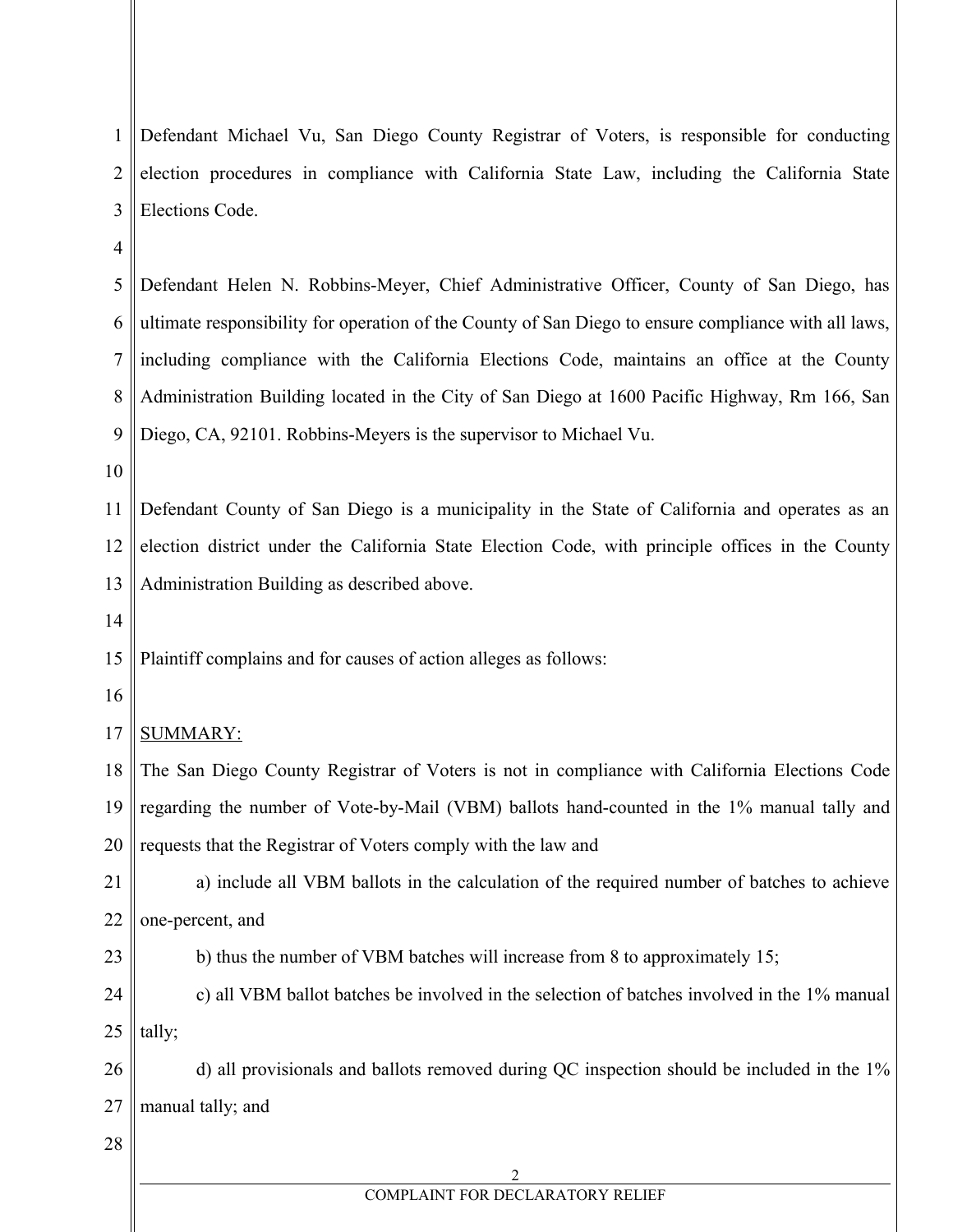| 1              | Defendant Michael Vu, San Diego County Registrar of Voters, is responsible for conducting            |
|----------------|------------------------------------------------------------------------------------------------------|
| $\overline{2}$ | election procedures in compliance with California State Law, including the California State          |
| 3              | Elections Code.                                                                                      |
| $\overline{4}$ |                                                                                                      |
| 5              | Defendant Helen N. Robbins-Meyer, Chief Administrative Officer, County of San Diego, has             |
| 6              | ultimate responsibility for operation of the County of San Diego to ensure compliance with all laws, |
| 7              | including compliance with the California Elections Code, maintains an office at the County           |
| 8              | Administration Building located in the City of San Diego at 1600 Pacific Highway, Rm 166, San        |
| 9              | Diego, CA, 92101. Robbins-Meyers is the supervisor to Michael Vu.                                    |
| 10             |                                                                                                      |
| 11             | Defendant County of San Diego is a municipality in the State of California and operates as an        |
| 12             | election district under the California State Election Code, with principle offices in the County     |
| 13             | Administration Building as described above.                                                          |
| 14             |                                                                                                      |
| 15             | Plaintiff complains and for causes of action alleges as follows:                                     |
| 16             |                                                                                                      |
| 17             | <b>SUMMARY:</b>                                                                                      |
| 18             | The San Diego County Registrar of Voters is not in compliance with California Elections Code         |
|                | 19    regarding the number of Vote-by-Mail (VBM) ballots hand-counted in the 1% manual tally and     |
| 20             | requests that the Registrar of Voters comply with the law and                                        |
| 21             | a) include all VBM ballots in the calculation of the required number of batches to achieve           |
| 22             | one-percent, and                                                                                     |
| 23             | b) thus the number of VBM batches will increase from 8 to approximately 15;                          |
| 24             | c) all VBM ballot batches be involved in the selection of batches involved in the 1% manual          |
| 25             | tally;                                                                                               |
| 26             | d) all provisionals and ballots removed during QC inspection should be included in the 1%            |
| 27             | manual tally; and                                                                                    |
| 28             |                                                                                                      |
|                | 2<br>COMPLAINT FOR DECLARATORY RELIEF                                                                |

 $\parallel$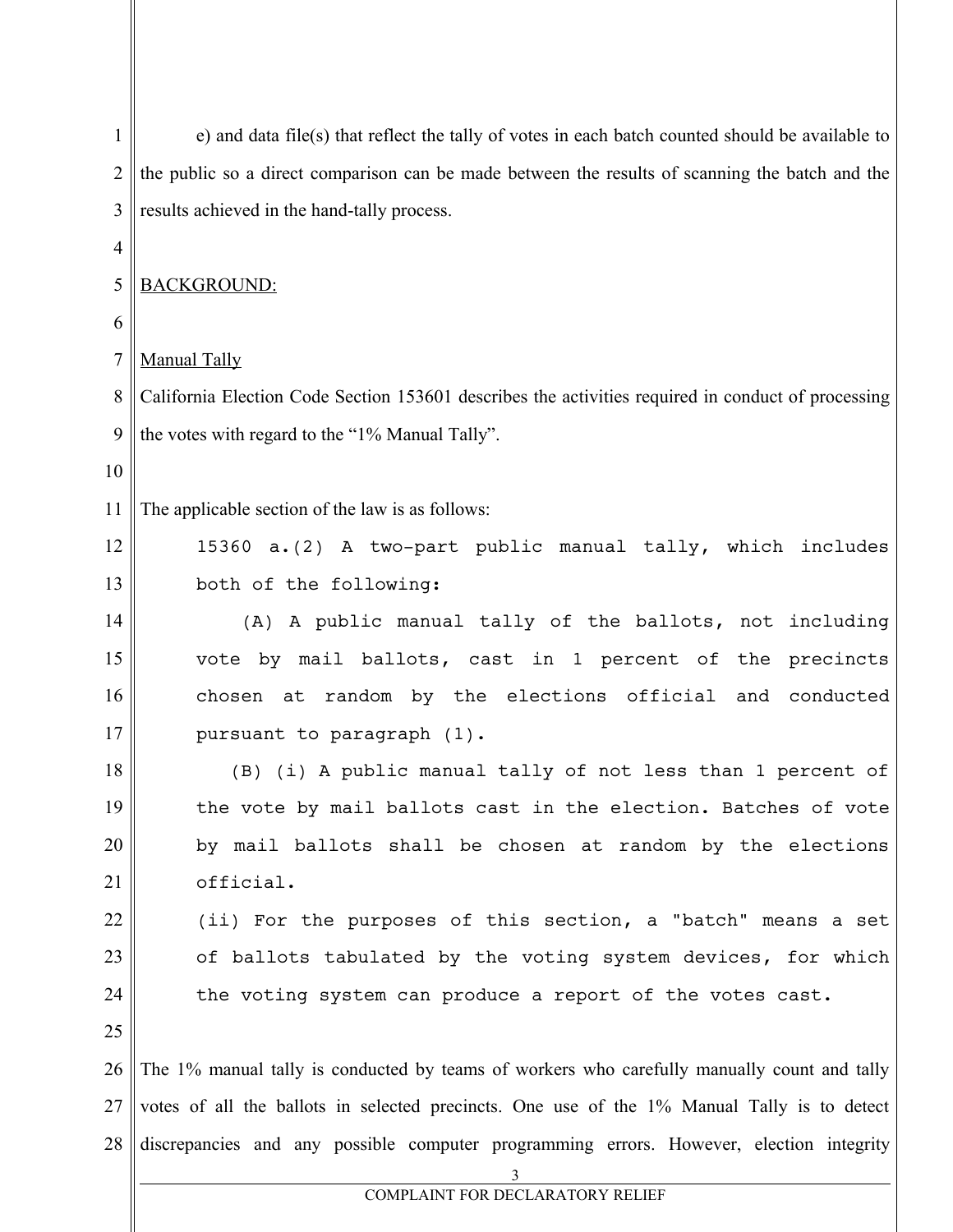| 1              | e) and data file(s) that reflect the tally of votes in each batch counted should be available to   |
|----------------|----------------------------------------------------------------------------------------------------|
| 2              | the public so a direct comparison can be made between the results of scanning the batch and the    |
| 3              | results achieved in the hand-tally process.                                                        |
| 4              |                                                                                                    |
| 5              | <b>BACKGROUND:</b>                                                                                 |
| 6              |                                                                                                    |
| $\overline{7}$ | Manual Tally                                                                                       |
| 8              | California Election Code Section 153601 describes the activities required in conduct of processing |
| 9              | the votes with regard to the "1% Manual Tally".                                                    |
| 10             |                                                                                                    |
| 11             | The applicable section of the law is as follows:                                                   |
| 12             | 15360 a.(2) A two-part public manual tally, which includes                                         |
| 13             | both of the following:                                                                             |
| 14             | A public manual tally of the ballots, not including<br>(A)                                         |
| 15             | vote by mail ballots, cast in 1 percent of the precincts                                           |
| 16             | chosen at random by the elections official and conducted                                           |
| 17             | pursuant to paragraph (1).                                                                         |
| 18             | (B) (i) A public manual tally of not less than 1 percent of                                        |
| 19             | the vote by mail ballots cast in the election. Batches of vote                                     |
| 20             | by mail ballots shall be chosen at random by the elections                                         |
| 21             | official.                                                                                          |
| 22             | (ii) For the purposes of this section, a "batch" means a set                                       |
| 23             | of ballots tabulated by the voting system devices, for which                                       |
| 24             | the voting system can produce a report of the votes cast.                                          |
| 25             |                                                                                                    |
| 26             | The 1% manual tally is conducted by teams of workers who carefully manually count and tally        |
| 27             | votes of all the ballots in selected precincts. One use of the 1% Manual Tally is to detect        |
| 28             | discrepancies and any possible computer programming errors. However, election integrity<br>3       |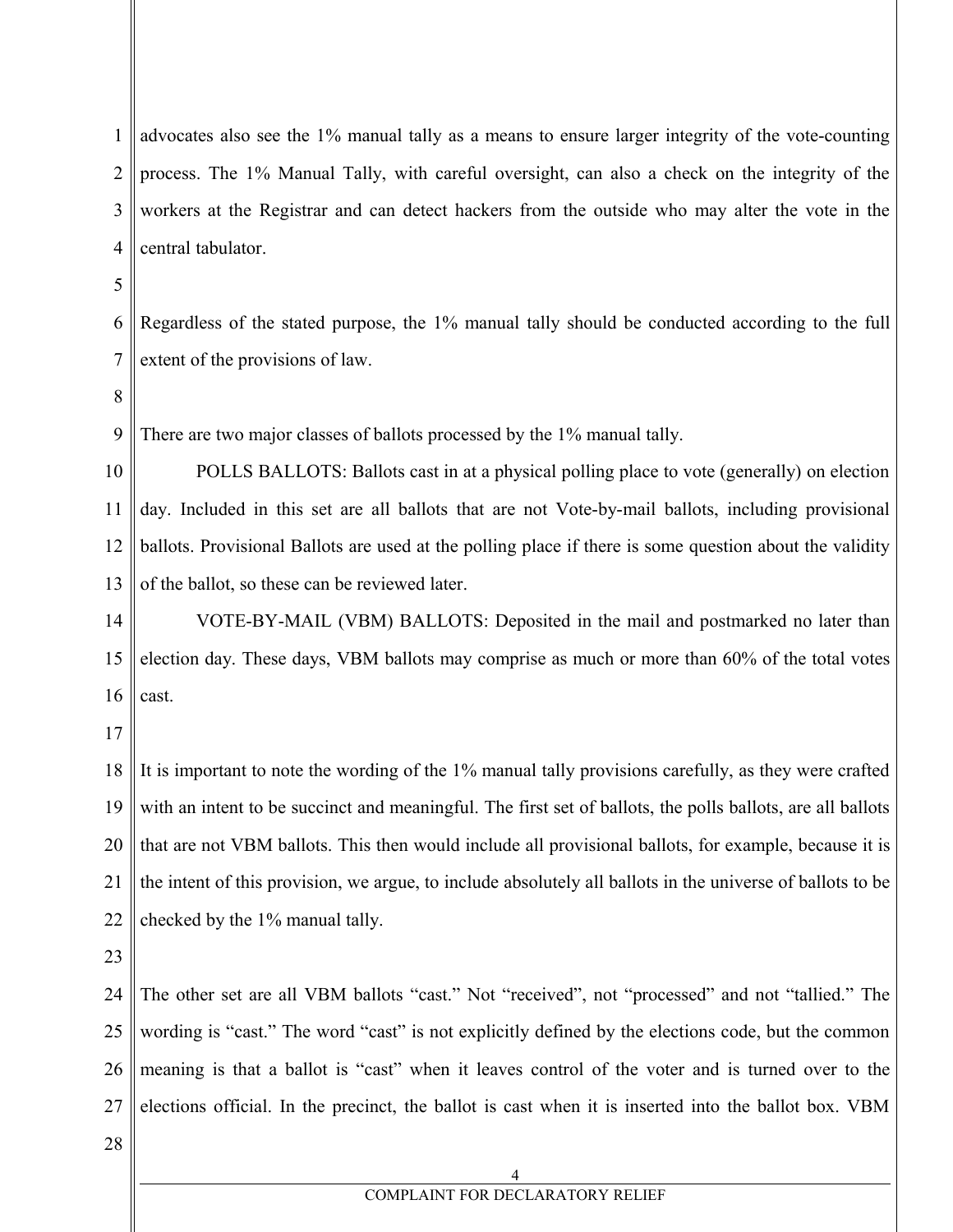1 2 3 4 advocates also see the 1% manual tally as a means to ensure larger integrity of the vote-counting process. The 1% Manual Tally, with careful oversight, can also a check on the integrity of the workers at the Registrar and can detect hackers from the outside who may alter the vote in the central tabulator.

5

6 7 Regardless of the stated purpose, the 1% manual tally should be conducted according to the full extent of the provisions of law.

8

9 There are two major classes of ballots processed by the 1% manual tally.

10 11 12 13 POLLS BALLOTS: Ballots cast in at a physical polling place to vote (generally) on election day. Included in this set are all ballots that are not Vote-by-mail ballots, including provisional ballots. Provisional Ballots are used at the polling place if there is some question about the validity of the ballot, so these can be reviewed later.

14 15 16 VOTE-BY-MAIL (VBM) BALLOTS: Deposited in the mail and postmarked no later than election day. These days, VBM ballots may comprise as much or more than 60% of the total votes cast.

17

18 19 20 21 22 It is important to note the wording of the 1% manual tally provisions carefully, as they were crafted with an intent to be succinct and meaningful. The first set of ballots, the polls ballots, are all ballots that are not VBM ballots. This then would include all provisional ballots, for example, because it is the intent of this provision, we argue, to include absolutely all ballots in the universe of ballots to be checked by the 1% manual tally.

23

24 25 26 27 The other set are all VBM ballots "cast." Not "received", not "processed" and not "tallied." The wording is "cast." The word "cast" is not explicitly defined by the elections code, but the common meaning is that a ballot is "cast" when it leaves control of the voter and is turned over to the elections official. In the precinct, the ballot is cast when it is inserted into the ballot box. VBM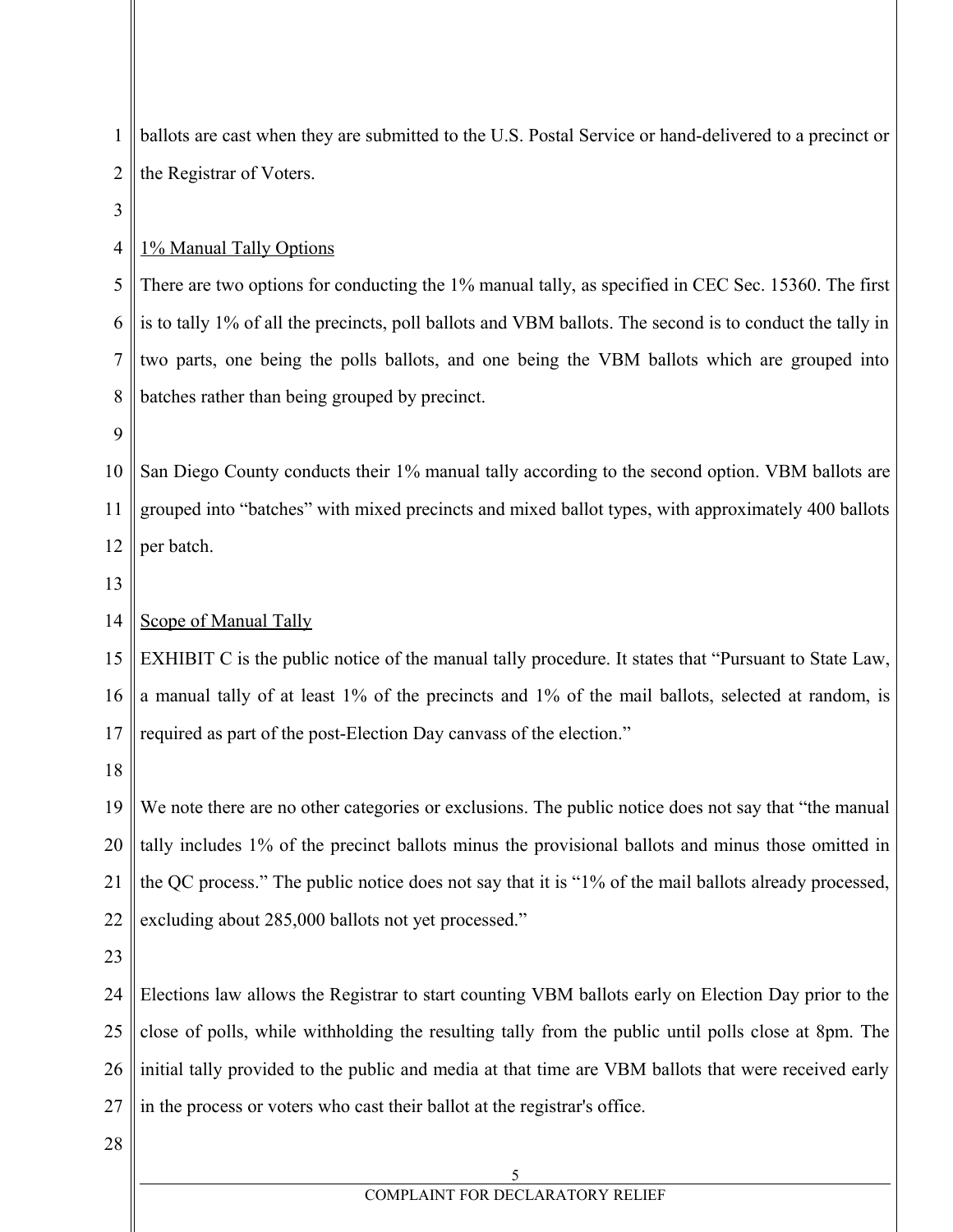1 2 3 4 5 6 7 8 9 ballots are cast when they are submitted to the U.S. Postal Service or hand-delivered to a precinct or the Registrar of Voters. 1% Manual Tally Options There are two options for conducting the 1% manual tally, as specified in CEC Sec. 15360. The first is to tally 1% of all the precincts, poll ballots and VBM ballots. The second is to conduct the tally in two parts, one being the polls ballots, and one being the VBM ballots which are grouped into batches rather than being grouped by precinct.

10 11 12 San Diego County conducts their 1% manual tally according to the second option. VBM ballots are grouped into "batches" with mixed precincts and mixed ballot types, with approximately 400 ballots per batch.

13

#### 14 Scope of Manual Tally

15 16 17 EXHIBIT C is the public notice of the manual tally procedure. It states that "Pursuant to State Law, a manual tally of at least 1% of the precincts and 1% of the mail ballots, selected at random, is required as part of the post-Election Day canvass of the election."

18

19 20 21 22 We note there are no other categories or exclusions. The public notice does not say that "the manual" tally includes 1% of the precinct ballots minus the provisional ballots and minus those omitted in the QC process." The public notice does not say that it is "1% of the mail ballots already processed, excluding about 285,000 ballots not yet processed."

23

24 25 26 27 Elections law allows the Registrar to start counting VBM ballots early on Election Day prior to the close of polls, while withholding the resulting tally from the public until polls close at 8pm. The initial tally provided to the public and media at that time are VBM ballots that were received early in the process or voters who cast their ballot at the registrar's office.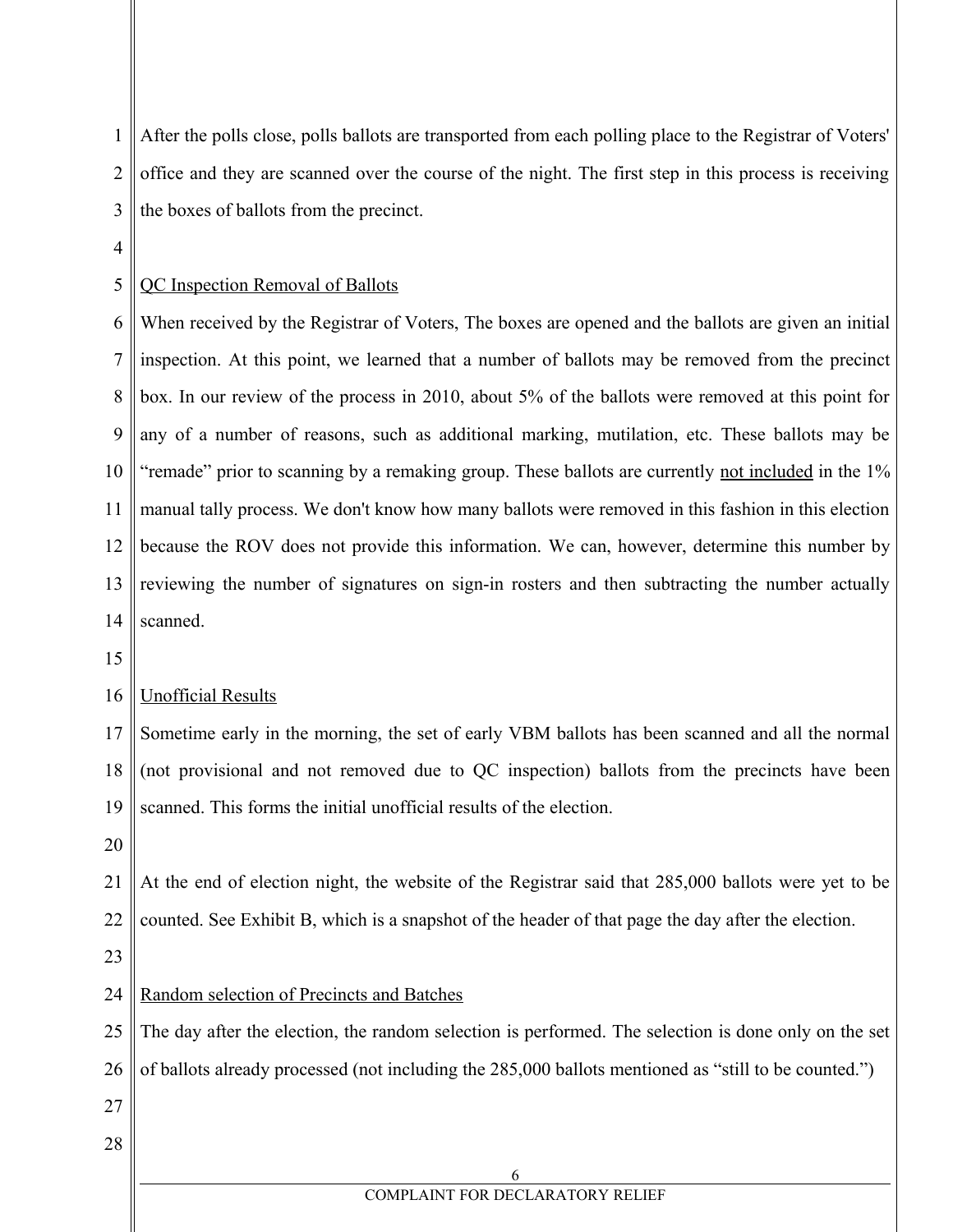1 2 3 After the polls close, polls ballots are transported from each polling place to the Registrar of Voters' office and they are scanned over the course of the night. The first step in this process is receiving the boxes of ballots from the precinct.

4

### 5 QC Inspection Removal of Ballots

6 7 8 9 10 11 12 13 14 When received by the Registrar of Voters, The boxes are opened and the ballots are given an initial inspection. At this point, we learned that a number of ballots may be removed from the precinct box. In our review of the process in 2010, about 5% of the ballots were removed at this point for any of a number of reasons, such as additional marking, mutilation, etc. These ballots may be "remade" prior to scanning by a remaking group. These ballots are currently not included in the 1% manual tally process. We don't know how many ballots were removed in this fashion in this election because the ROV does not provide this information. We can, however, determine this number by reviewing the number of signatures on sign-in rosters and then subtracting the number actually scanned.

15

#### 16 Unofficial Results

17 18 19 Sometime early in the morning, the set of early VBM ballots has been scanned and all the normal (not provisional and not removed due to QC inspection) ballots from the precincts have been scanned. This forms the initial unofficial results of the election.

20

21 22 At the end of election night, the website of the Registrar said that 285,000 ballots were yet to be counted. See Exhibit B, which is a snapshot of the header of that page the day after the election.

23

#### 24 Random selection of Precincts and Batches

25 26 The day after the election, the random selection is performed. The selection is done only on the set of ballots already processed (not including the 285,000 ballots mentioned as "still to be counted.")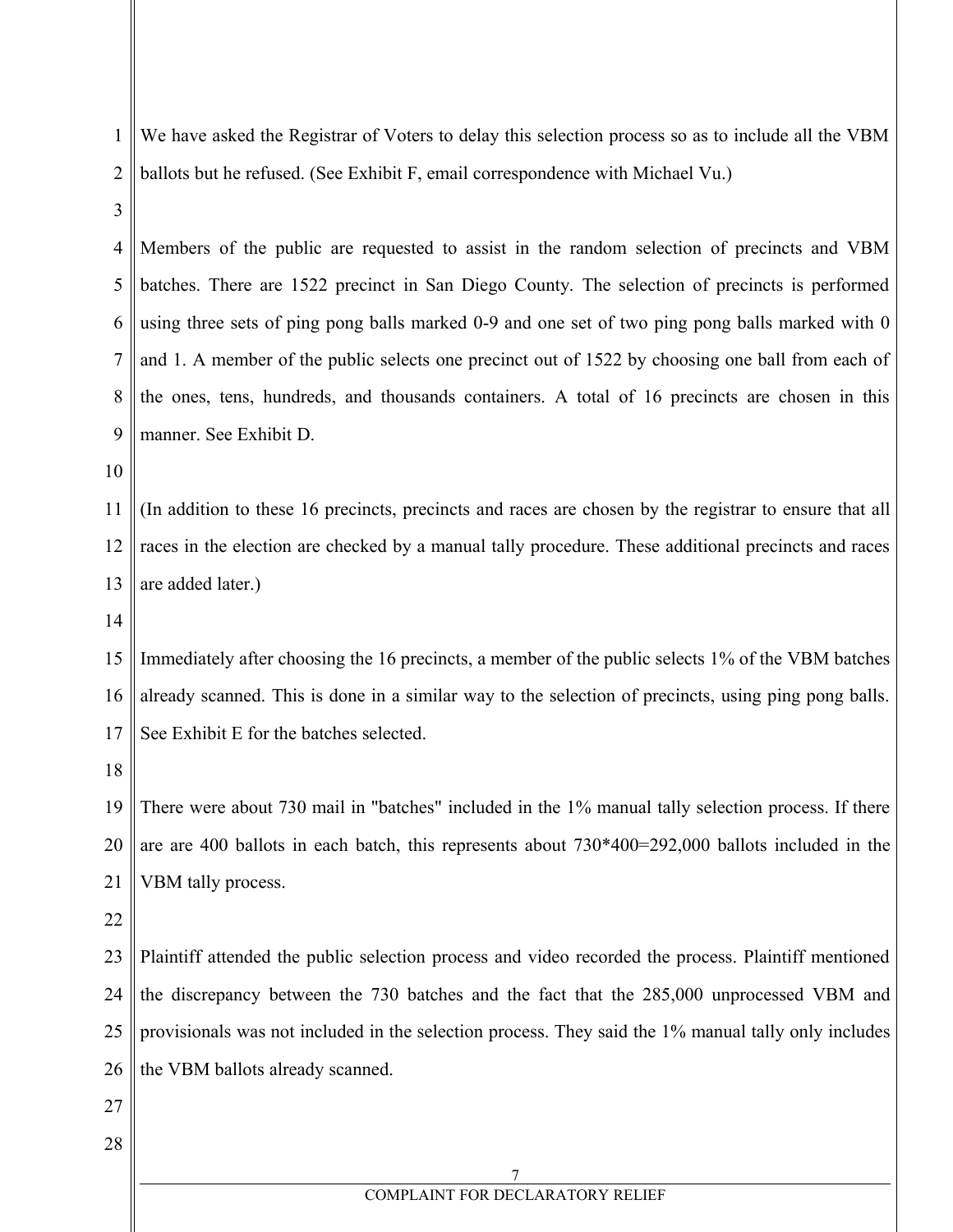1 2 We have asked the Registrar of Voters to delay this selection process so as to include all the VBM ballots but he refused. (See Exhibit F, email correspondence with Michael Vu.)

3

4 5 6 7 8 9 Members of the public are requested to assist in the random selection of precincts and VBM batches. There are 1522 precinct in San Diego County. The selection of precincts is performed using three sets of ping pong balls marked 0-9 and one set of two ping pong balls marked with 0 and 1. A member of the public selects one precinct out of 1522 by choosing one ball from each of the ones, tens, hundreds, and thousands containers. A total of 16 precincts are chosen in this manner. See Exhibit D.

10

11 12 13 (In addition to these 16 precincts, precincts and races are chosen by the registrar to ensure that all races in the election are checked by a manual tally procedure. These additional precincts and races are added later.)

14

15 16 17 Immediately after choosing the 16 precincts, a member of the public selects 1% of the VBM batches already scanned. This is done in a similar way to the selection of precincts, using ping pong balls. See Exhibit E for the batches selected.

18

19 20 21 There were about 730 mail in "batches" included in the 1% manual tally selection process. If there are are 400 ballots in each batch, this represents about 730\*400=292,000 ballots included in the VBM tally process.

22

23 24 25 26 Plaintiff attended the public selection process and video recorded the process. Plaintiff mentioned the discrepancy between the 730 batches and the fact that the 285,000 unprocessed VBM and provisionals was not included in the selection process. They said the 1% manual tally only includes the VBM ballots already scanned.

- 27
- 28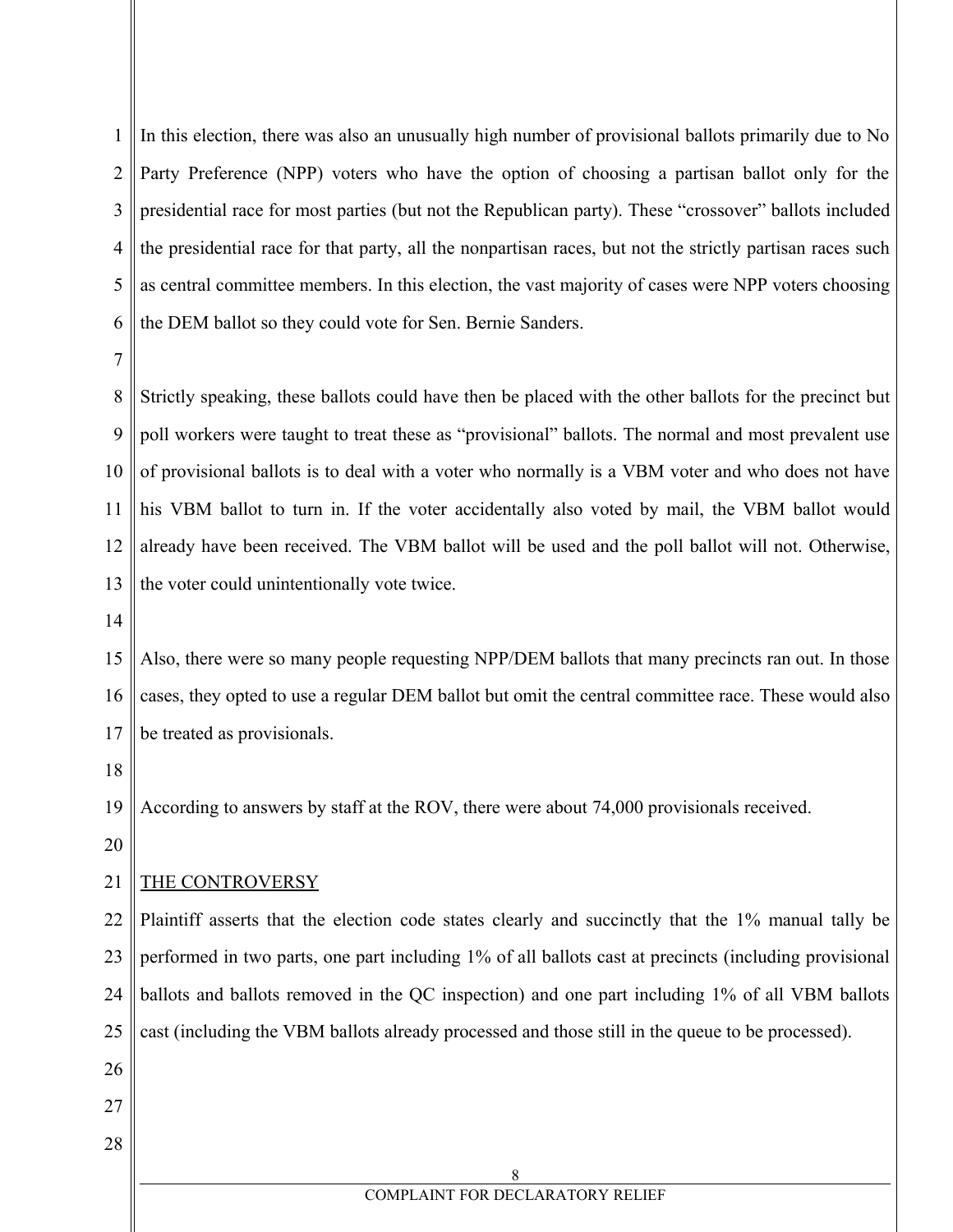1 2 3 4 5 6 In this election, there was also an unusually high number of provisional ballots primarily due to No Party Preference (NPP) voters who have the option of choosing a partisan ballot only for the presidential race for most parties (but not the Republican party). These "crossover" ballots included the presidential race for that party, all the nonpartisan races, but not the strictly partisan races such as central committee members. In this election, the vast majority of cases were NPP voters choosing the DEM ballot so they could vote for Sen. Bernie Sanders.

7

8 9 10 11 12 13 Strictly speaking, these ballots could have then be placed with the other ballots for the precinct but poll workers were taught to treat these as "provisional" ballots. The normal and most prevalent use of provisional ballots is to deal with a voter who normally is a VBM voter and who does not have his VBM ballot to turn in. If the voter accidentally also voted by mail, the VBM ballot would already have been received. The VBM ballot will be used and the poll ballot will not. Otherwise, the voter could unintentionally vote twice.

14

15 16 17 Also, there were so many people requesting NPP/DEM ballots that many precincts ran out. In those cases, they opted to use a regular DEM ballot but omit the central committee race. These would also be treated as provisionals.

18

19 According to answers by staff at the ROV, there were about 74,000 provisionals received.

20

## 21 THE CONTROVERSY

22 23 24 25 Plaintiff asserts that the election code states clearly and succinctly that the 1% manual tally be performed in two parts, one part including 1% of all ballots cast at precincts (including provisional ballots and ballots removed in the QC inspection) and one part including 1% of all VBM ballots cast (including the VBM ballots already processed and those still in the queue to be processed).

- 26
- 27
- 28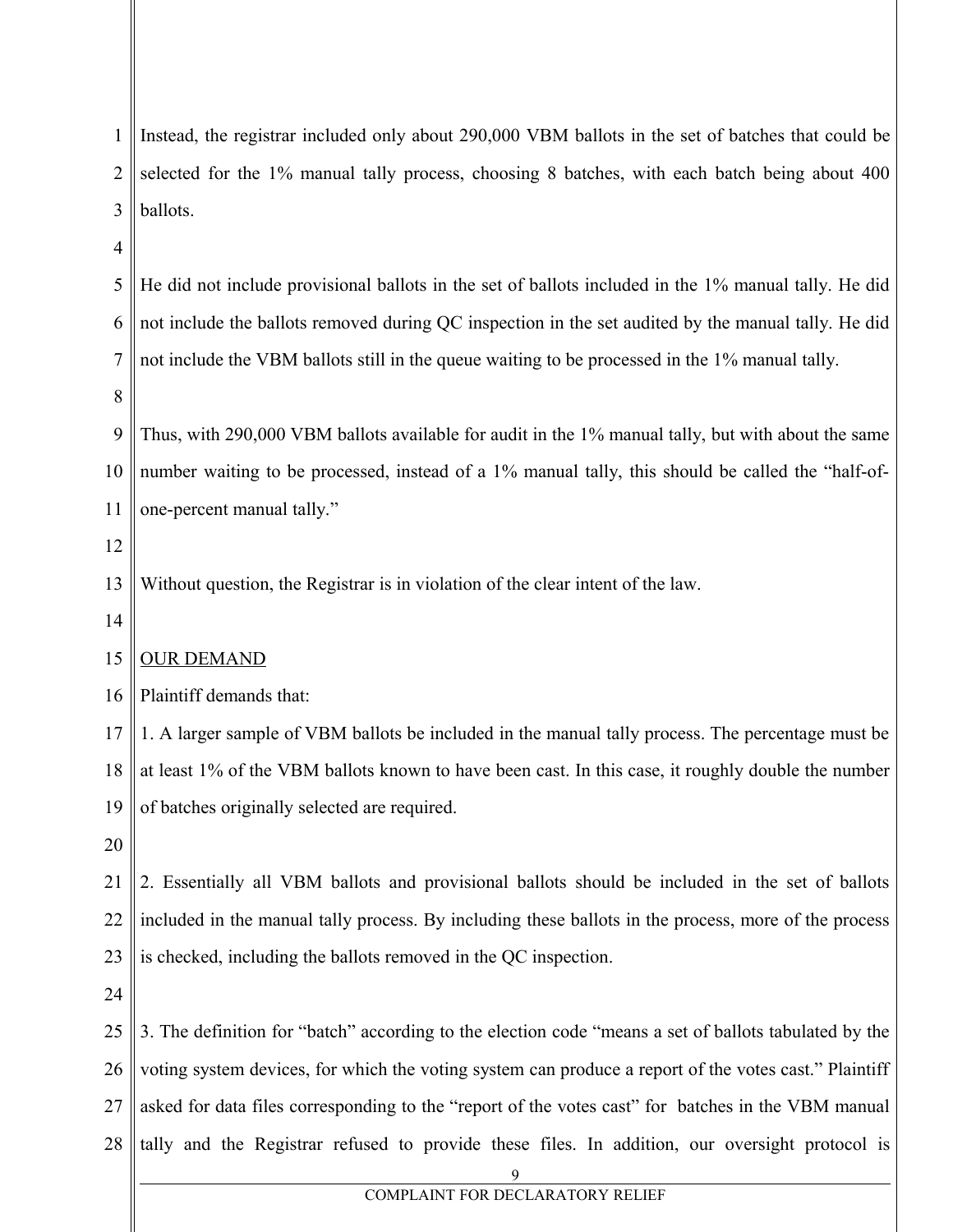| 1              | Instead, the registrar included only about 290,000 VBM ballots in the set of batches that could be    |
|----------------|-------------------------------------------------------------------------------------------------------|
| $\overline{2}$ | selected for the 1% manual tally process, choosing 8 batches, with each batch being about 400         |
| 3              | ballots.                                                                                              |
| $\overline{4}$ |                                                                                                       |
| 5              | He did not include provisional ballots in the set of ballots included in the 1% manual tally. He did  |
| 6              | not include the ballots removed during QC inspection in the set audited by the manual tally. He did   |
| 7              | not include the VBM ballots still in the queue waiting to be processed in the 1% manual tally.        |
| 8              |                                                                                                       |
| 9              | Thus, with 290,000 VBM ballots available for audit in the 1% manual tally, but with about the same    |
| 10             | number waiting to be processed, instead of a 1% manual tally, this should be called the "half-of-     |
| 11             | one-percent manual tally."                                                                            |
| 12             |                                                                                                       |
| 13             | Without question, the Registrar is in violation of the clear intent of the law.                       |
| 14             |                                                                                                       |
| 15             | <b>OUR DEMAND</b>                                                                                     |
| 16             | Plaintiff demands that:                                                                               |
| 17             | 1. A larger sample of VBM ballots be included in the manual tally process. The percentage must be     |
| 18             | at least 1% of the VBM ballots known to have been cast. In this case, it roughly double the number    |
| 19             | of batches originally selected are required.                                                          |
| 20             |                                                                                                       |
| 21             | 2. Essentially all VBM ballots and provisional ballots should be included in the set of ballots       |
| 22             | included in the manual tally process. By including these ballots in the process, more of the process  |
| 23             | is checked, including the ballots removed in the QC inspection.                                       |
| 24             |                                                                                                       |
| 25             | 3. The definition for "batch" according to the election code "means a set of ballots tabulated by the |
| 26             | voting system devices, for which the voting system can produce a report of the votes cast." Plaintiff |
| 27             | asked for data files corresponding to the "report of the votes cast" for batches in the VBM manual    |
| 28             | tally and the Registrar refused to provide these files. In addition, our oversight protocol is        |
|                |                                                                                                       |

# COMPLAINT FOR DECLARATORY RELIEF